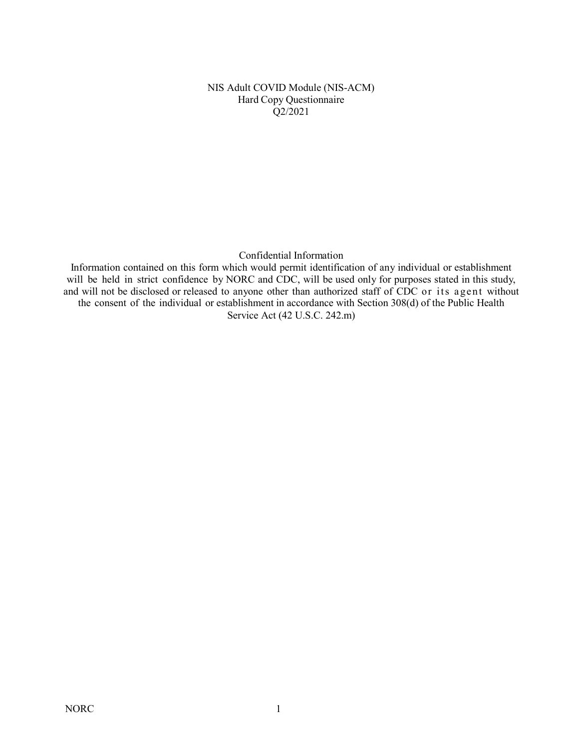NIS Adult COVID Module (NIS-ACM) Hard Copy Questionnaire Q2/2021

Confidential Information

Information contained on this form which would permit identification of any individual or establishment will be held in strict confidence by NORC and CDC, will be used only for purposes stated in this study, and will not be disclosed or released to anyone other than authorized staff of CDC or its agent without the consent of the individual or establishment in accordance with Section 308(d) of the Public Health Service Act (42 U.S.C. 242.m)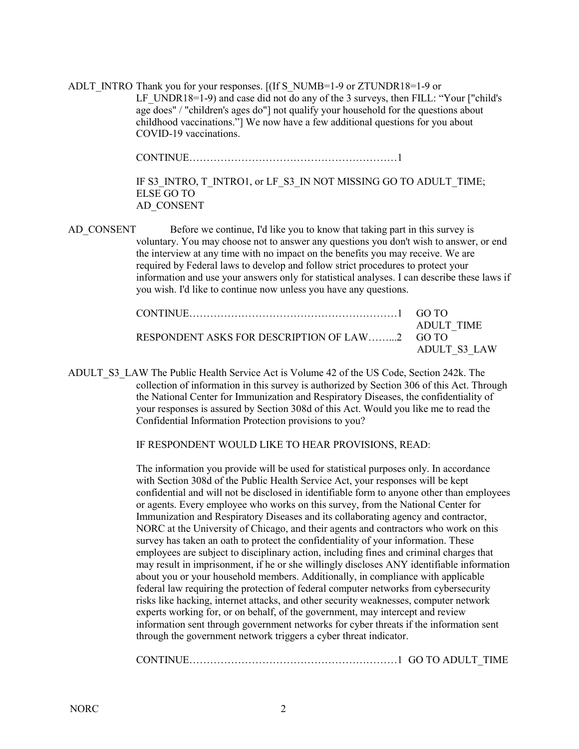ADLT\_INTRO Thank you for your responses.  $[(If S<sub>NUMB=1-9</sub> or ZTUNDR18=1-9 or$ LF UNDR18=1-9) and case did not do any of the 3 surveys, then FILL: "Your ["child's" age does" / "children's ages do"] not qualify your household for the questions about childhood vaccinations."] We now have a few additional questions for you about COVID-19 vaccinations.

CONTINUE……………………………………………………1

IF S3\_INTRO, T\_INTRO1, or LF\_S3\_IN NOT MISSING GO TO ADULT\_TIME; ELSE GO TO AD\_CONSENT

AD\_CONSENT Before we continue, I'd like you to know that taking part in this survey is voluntary. You may choose not to answer any questions you don't wish to answer, or end the interview at any time with no impact on the benefits you may receive. We are required by Federal laws to develop and follow strict procedures to protect your information and use your answers only for statistical analyses. I can describe these laws if you wish. I'd like to continue now unless you have any questions.

|                                               | ADULT TIME   |
|-----------------------------------------------|--------------|
| RESPONDENT ASKS FOR DESCRIPTION OF LAW2 GO TO |              |
|                                               | ADULT S3 LAW |

ADULT\_S3\_LAW The Public Health Service Act is Volume 42 of the US Code, Section 242k. The collection of information in this survey is authorized by Section 306 of this Act. Through the National Center for Immunization and Respiratory Diseases, the confidentiality of your responses is assured by Section 308d of this Act. Would you like me to read the Confidential Information Protection provisions to you?

IF RESPONDENT WOULD LIKE TO HEAR PROVISIONS, READ:

The information you provide will be used for statistical purposes only. In accordance with Section 308d of the Public Health Service Act, your responses will be kept confidential and will not be disclosed in identifiable form to anyone other than employees or agents. Every employee who works on this survey, from the National Center for Immunization and Respiratory Diseases and its collaborating agency and contractor, NORC at the University of Chicago, and their agents and contractors who work on this survey has taken an oath to protect the confidentiality of your information. These employees are subject to disciplinary action, including fines and criminal charges that may result in imprisonment, if he or she willingly discloses ANY identifiable information about you or your household members. Additionally, in compliance with applicable federal law requiring the protection of federal computer networks from cybersecurity risks like hacking, internet attacks, and other security weaknesses, computer network experts working for, or on behalf, of the government, may intercept and review information sent through government networks for cyber threats if the information sent through the government network triggers a cyber threat indicator.

CONTINUE……………………………………………………1 GO TO ADULT\_TIME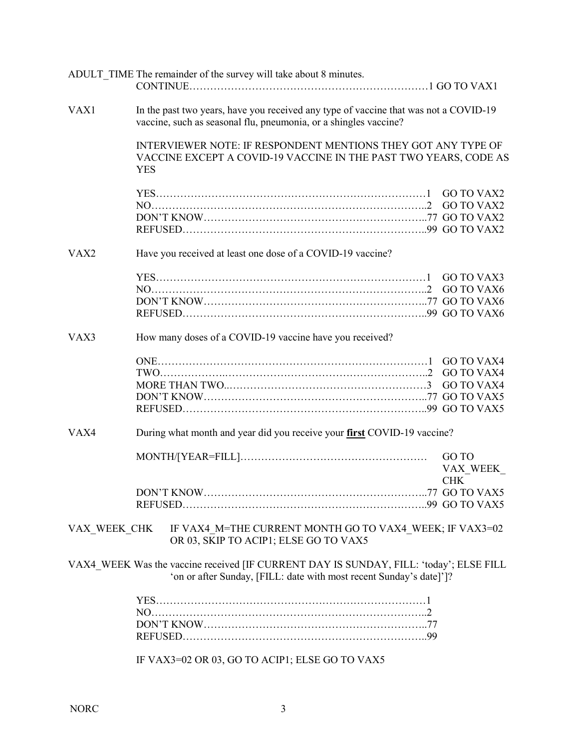|                  |                                                         | ADULT TIME The remainder of the survey will take about 8 minutes.                                                                                             |                   |  |
|------------------|---------------------------------------------------------|---------------------------------------------------------------------------------------------------------------------------------------------------------------|-------------------|--|
| VAX1             |                                                         | In the past two years, have you received any type of vaccine that was not a COVID-19<br>vaccine, such as seasonal flu, pneumonia, or a shingles vaccine?      |                   |  |
|                  | <b>YES</b>                                              | INTERVIEWER NOTE: IF RESPONDENT MENTIONS THEY GOT ANY TYPE OF<br>VACCINE EXCEPT A COVID-19 VACCINE IN THE PAST TWO YEARS, CODE AS                             |                   |  |
|                  |                                                         |                                                                                                                                                               |                   |  |
|                  |                                                         |                                                                                                                                                               |                   |  |
|                  |                                                         |                                                                                                                                                               |                   |  |
|                  |                                                         |                                                                                                                                                               |                   |  |
| VAX <sub>2</sub> |                                                         | Have you received at least one dose of a COVID-19 vaccine?                                                                                                    |                   |  |
|                  |                                                         |                                                                                                                                                               |                   |  |
|                  |                                                         |                                                                                                                                                               |                   |  |
|                  |                                                         |                                                                                                                                                               |                   |  |
|                  |                                                         |                                                                                                                                                               |                   |  |
| VAX3             | How many doses of a COVID-19 vaccine have you received? |                                                                                                                                                               |                   |  |
|                  |                                                         |                                                                                                                                                               |                   |  |
|                  |                                                         |                                                                                                                                                               |                   |  |
|                  |                                                         |                                                                                                                                                               |                   |  |
|                  |                                                         |                                                                                                                                                               |                   |  |
|                  |                                                         |                                                                                                                                                               |                   |  |
| VAX4             |                                                         | During what month and year did you receive your first COVID-19 vaccine?                                                                                       |                   |  |
|                  |                                                         |                                                                                                                                                               | GO TO<br>VAX WEEK |  |
|                  |                                                         |                                                                                                                                                               | CHK               |  |
|                  |                                                         |                                                                                                                                                               |                   |  |
|                  |                                                         |                                                                                                                                                               |                   |  |
| VAX WEEK CHK     |                                                         | IF VAX4 M=THE CURRENT MONTH GO TO VAX4 WEEK; IF VAX3=02<br>OR 03, SKIP TO ACIP1; ELSE GO TO VAX5                                                              |                   |  |
|                  |                                                         | VAX4 WEEK Was the vaccine received [IF CURRENT DAY IS SUNDAY, FILL: 'today'; ELSE FILL<br>'on or after Sunday, [FILL: date with most recent Sunday's date]']? |                   |  |
|                  |                                                         |                                                                                                                                                               |                   |  |
|                  |                                                         |                                                                                                                                                               |                   |  |
|                  |                                                         |                                                                                                                                                               |                   |  |
|                  |                                                         |                                                                                                                                                               |                   |  |
|                  |                                                         | IF VAX3=02 OR 03, GO TO ACIP1; ELSE GO TO VAX5                                                                                                                |                   |  |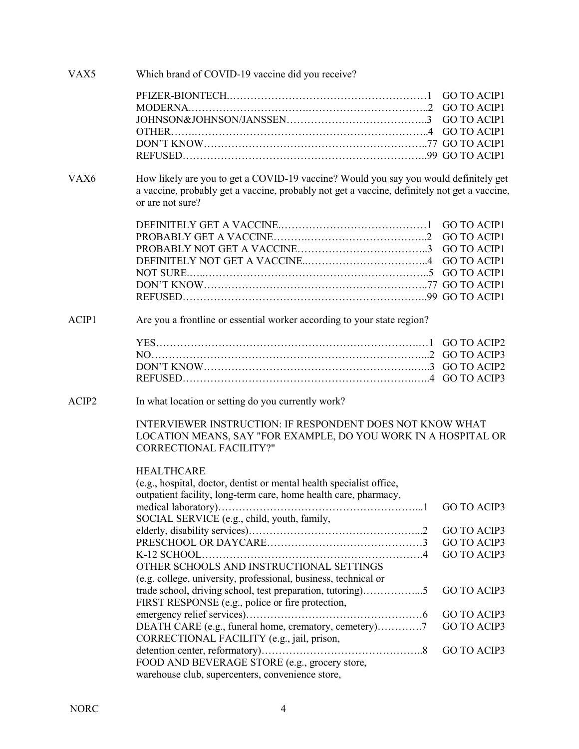| VAX5  | Which brand of COVID-19 vaccine did you receive?                                                                 |                    |
|-------|------------------------------------------------------------------------------------------------------------------|--------------------|
|       |                                                                                                                  |                    |
|       |                                                                                                                  |                    |
|       |                                                                                                                  |                    |
|       |                                                                                                                  |                    |
|       |                                                                                                                  |                    |
|       |                                                                                                                  |                    |
| VAX6  | How likely are you to get a COVID-19 vaccine? Would you say you would definitely get                             |                    |
|       | a vaccine, probably get a vaccine, probably not get a vaccine, definitely not get a vaccine,<br>or are not sure? |                    |
|       |                                                                                                                  |                    |
|       |                                                                                                                  |                    |
|       |                                                                                                                  |                    |
|       |                                                                                                                  |                    |
|       |                                                                                                                  |                    |
|       |                                                                                                                  |                    |
|       |                                                                                                                  |                    |
|       |                                                                                                                  |                    |
| ACIP1 | Are you a frontline or essential worker according to your state region?                                          |                    |
|       |                                                                                                                  |                    |
|       |                                                                                                                  |                    |
|       |                                                                                                                  |                    |
|       |                                                                                                                  |                    |
| ACIP2 | In what location or setting do you currently work?                                                               |                    |
|       | INTERVIEWER INSTRUCTION: IF RESPONDENT DOES NOT KNOW WHAT                                                        |                    |
|       | LOCATION MEANS, SAY "FOR EXAMPLE, DO YOU WORK IN A HOSPITAL OR                                                   |                    |
|       | <b>CORRECTIONAL FACILITY?"</b>                                                                                   |                    |
|       | <b>HEALTHCARE</b>                                                                                                |                    |
|       | (e.g., hospital, doctor, dentist or mental health specialist office,                                             |                    |
|       | outpatient facility, long-term care, home health care, pharmacy,                                                 |                    |
|       |                                                                                                                  | <b>GO TO ACIP3</b> |
|       | SOCIAL SERVICE (e.g., child, youth, family,                                                                      |                    |
|       |                                                                                                                  | <b>GO TO ACIP3</b> |
|       |                                                                                                                  | <b>GO TO ACIP3</b> |
|       |                                                                                                                  | <b>GO TO ACIP3</b> |
|       | OTHER SCHOOLS AND INSTRUCTIONAL SETTINGS                                                                         |                    |
|       | (e.g. college, university, professional, business, technical or                                                  |                    |
|       | trade school, driving school, test preparation, tutoring)5                                                       | <b>GO TO ACIP3</b> |
|       | FIRST RESPONSE (e.g., police or fire protection,                                                                 |                    |
|       |                                                                                                                  | <b>GO TO ACIP3</b> |
|       | DEATH CARE (e.g., funeral home, crematory, cemetery)7                                                            | <b>GO TO ACIP3</b> |
|       | CORRECTIONAL FACILITY (e.g., jail, prison,                                                                       |                    |
|       |                                                                                                                  | <b>GO TO ACIP3</b> |
|       | FOOD AND BEVERAGE STORE (e.g., grocery store,                                                                    |                    |
|       | warehouse club, supercenters, convenience store,                                                                 |                    |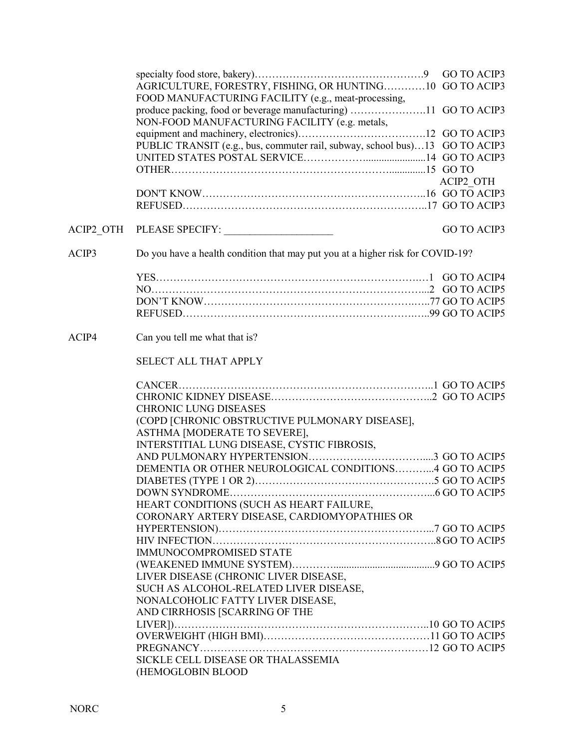|       | AGRICULTURE, FORESTRY, FISHING, OR HUNTING10 GO TO ACIP3                       |                    |
|-------|--------------------------------------------------------------------------------|--------------------|
|       | FOOD MANUFACTURING FACILITY (e.g., meat-processing,                            |                    |
|       | produce packing, food or beverage manufacturing) 11 GO TO ACIP3                |                    |
|       | NON-FOOD MANUFACTURING FACILITY (e.g. metals,                                  |                    |
|       |                                                                                |                    |
|       | PUBLIC TRANSIT (e.g., bus, commuter rail, subway, school bus)13 GO TO ACIP3    |                    |
|       |                                                                                |                    |
|       |                                                                                |                    |
|       |                                                                                |                    |
|       |                                                                                | ACIP2 OTH          |
|       |                                                                                |                    |
|       |                                                                                |                    |
|       |                                                                                | <b>GO TO ACIP3</b> |
| ACIP3 | Do you have a health condition that may put you at a higher risk for COVID-19? |                    |
|       |                                                                                |                    |
|       |                                                                                |                    |
|       |                                                                                |                    |
|       |                                                                                |                    |
|       |                                                                                |                    |
| ACIP4 | Can you tell me what that is?                                                  |                    |
|       | SELECT ALL THAT APPLY                                                          |                    |
|       |                                                                                |                    |
|       |                                                                                |                    |
|       |                                                                                |                    |
|       |                                                                                |                    |
|       | <b>CHRONIC LUNG DISEASES</b>                                                   |                    |
|       | (COPD [CHRONIC OBSTRUCTIVE PULMONARY DISEASE],                                 |                    |
|       | ASTHMA [MODERATE TO SEVERE],                                                   |                    |
|       | INTERSTITIAL LUNG DISEASE, CYSTIC FIBROSIS,                                    |                    |
|       |                                                                                |                    |
|       | DEMENTIA OR OTHER NEUROLOGICAL CONDITIONS4 GO TO ACIP5                         |                    |
|       |                                                                                |                    |
|       |                                                                                |                    |
|       | HEART CONDITIONS (SUCH AS HEART FAILURE,                                       |                    |
|       | CORONARY ARTERY DISEASE, CARDIOMYOPATHIES OR                                   |                    |
|       |                                                                                |                    |
|       |                                                                                |                    |
|       | IMMUNOCOMPROMISED STATE                                                        |                    |
|       |                                                                                |                    |
|       | LIVER DISEASE (CHRONIC LIVER DISEASE,                                          |                    |
|       | SUCH AS ALCOHOL-RELATED LIVER DISEASE,                                         |                    |
|       | NONALCOHOLIC FATTY LIVER DISEASE,                                              |                    |
|       | AND CIRRHOSIS [SCARRING OF THE                                                 |                    |
|       |                                                                                |                    |
|       |                                                                                |                    |
|       |                                                                                |                    |
|       | SICKLE CELL DISEASE OR THALASSEMIA<br>(HEMOGLOBIN BLOOD                        |                    |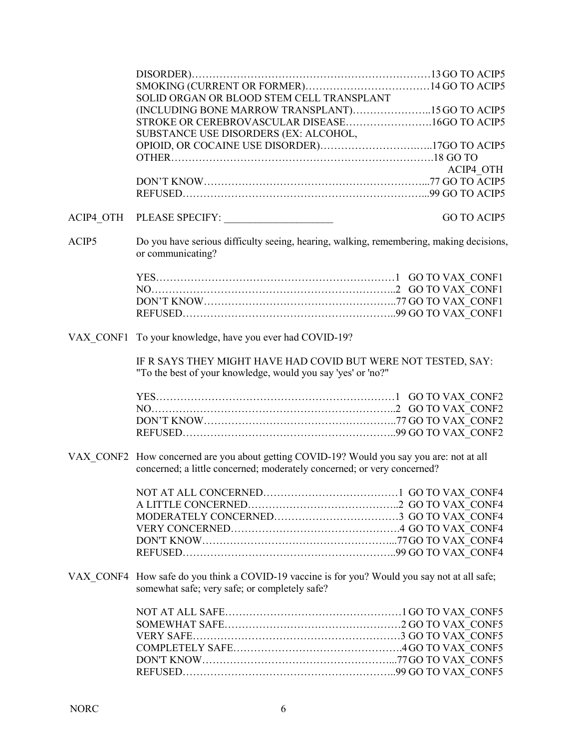|       | SOLID ORGAN OR BLOOD STEM CELL TRANSPLANT                                                                                                                            |                    |
|-------|----------------------------------------------------------------------------------------------------------------------------------------------------------------------|--------------------|
|       | (INCLUDING BONE MARROW TRANSPLANT)15 GO TO ACIP5                                                                                                                     |                    |
|       | STROKE OR CEREBROVASCULAR DISEASE16GO TO ACIP5                                                                                                                       |                    |
|       | SUBSTANCE USE DISORDERS (EX: ALCOHOL,                                                                                                                                |                    |
|       |                                                                                                                                                                      |                    |
|       |                                                                                                                                                                      |                    |
|       |                                                                                                                                                                      | ACIP4 OTH          |
|       |                                                                                                                                                                      |                    |
|       |                                                                                                                                                                      |                    |
|       |                                                                                                                                                                      | <b>GO TO ACIP5</b> |
| ACIP5 | Do you have serious difficulty seeing, hearing, walking, remembering, making decisions,<br>or communicating?                                                         |                    |
|       |                                                                                                                                                                      |                    |
|       |                                                                                                                                                                      |                    |
|       |                                                                                                                                                                      |                    |
|       |                                                                                                                                                                      |                    |
|       | VAX CONF1 To your knowledge, have you ever had COVID-19?                                                                                                             |                    |
|       | IF R SAYS THEY MIGHT HAVE HAD COVID BUT WERE NOT TESTED, SAY:<br>"To the best of your knowledge, would you say 'yes' or 'no?"                                        |                    |
|       |                                                                                                                                                                      |                    |
|       |                                                                                                                                                                      |                    |
|       |                                                                                                                                                                      |                    |
|       |                                                                                                                                                                      |                    |
|       | VAX CONF2 How concerned are you about getting COVID-19? Would you say you are: not at all<br>concerned; a little concerned; moderately concerned; or very concerned? |                    |
|       |                                                                                                                                                                      |                    |
|       |                                                                                                                                                                      |                    |
|       |                                                                                                                                                                      |                    |
|       |                                                                                                                                                                      |                    |
|       |                                                                                                                                                                      |                    |
|       |                                                                                                                                                                      |                    |
|       |                                                                                                                                                                      |                    |
|       | VAX CONF4 How safe do you think a COVID-19 vaccine is for you? Would you say not at all safe;<br>somewhat safe; very safe; or completely safe?                       |                    |
|       |                                                                                                                                                                      |                    |
|       |                                                                                                                                                                      |                    |
|       |                                                                                                                                                                      |                    |
|       |                                                                                                                                                                      |                    |
|       |                                                                                                                                                                      |                    |
|       |                                                                                                                                                                      |                    |
|       |                                                                                                                                                                      |                    |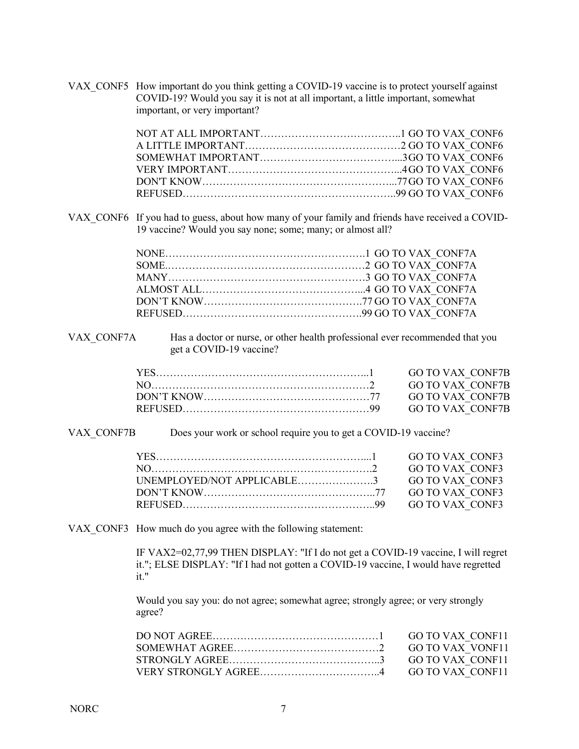VAX CONF5 How important do you think getting a COVID-19 vaccine is to protect yourself against COVID-19? Would you say it is not at all important, a little important, somewhat important, or very important?

VAX CONF6 If you had to guess, about how many of your family and friends have received a COVID-19 vaccine? Would you say none; some; many; or almost all?

VAX CONF7A Has a doctor or nurse, or other health professional ever recommended that you get a COVID-19 vaccine?

VAX CONF7B Does your work or school require you to get a COVID-19 vaccine?

| DON'T KNOW $\ldots$ $\ldots$ $\ldots$ $\ldots$ $\ldots$ $\ldots$ $\ldots$ $\ldots$ $\ldots$ $\ldots$ $\ldots$ $\ldots$ $\ldots$ $\ldots$ $\ldots$ $\ldots$ $\ldots$ $\ldots$ $\ldots$ $\ldots$ $\ldots$ $\ldots$ $\ldots$ $\ldots$ $\ldots$ $\ldots$ |  |
|------------------------------------------------------------------------------------------------------------------------------------------------------------------------------------------------------------------------------------------------------|--|
|                                                                                                                                                                                                                                                      |  |
|                                                                                                                                                                                                                                                      |  |

VAX CONF3 How much do you agree with the following statement:

IF VAX2=02,77,99 THEN DISPLAY: "If I do not get a COVID-19 vaccine, I will regret it."; ELSE DISPLAY: "If I had not gotten a COVID-19 vaccine, I would have regretted it."

Would you say you: do not agree; somewhat agree; strongly agree; or very strongly agree?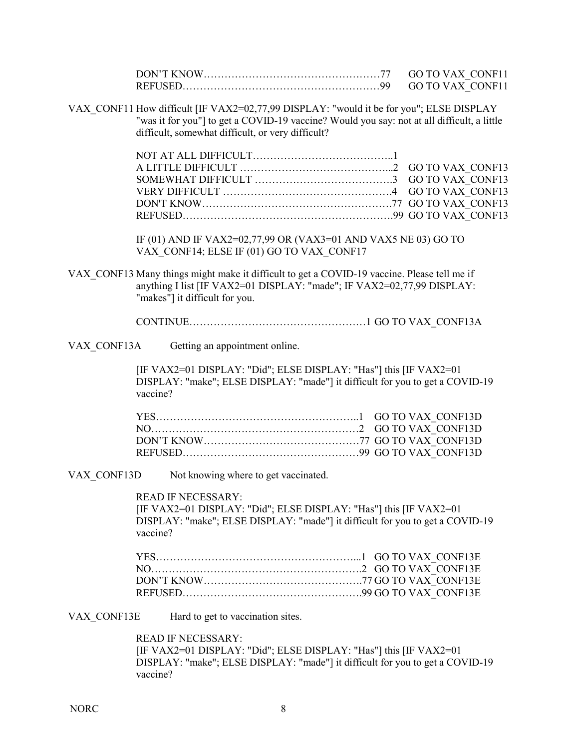|             |          |                                                                                                                                                                                                                                            | <b>GO TO VAX CONF11</b><br><b>GO TO VAX CONF11</b>                            |  |
|-------------|----------|--------------------------------------------------------------------------------------------------------------------------------------------------------------------------------------------------------------------------------------------|-------------------------------------------------------------------------------|--|
|             |          | VAX CONF11 How difficult [IF VAX2=02,77,99 DISPLAY: "would it be for you"; ELSE DISPLAY<br>"was it for you"] to get a COVID-19 vaccine? Would you say: not at all difficult, a little<br>difficult, somewhat difficult, or very difficult? |                                                                               |  |
|             |          |                                                                                                                                                                                                                                            | <b>GO TO VAX CONF13</b><br><b>GO TO VAX CONF13</b><br><b>GO TO VAX CONF13</b> |  |
|             |          | IF (01) AND IF VAX2=02,77,99 OR (VAX3=01 AND VAX5 NE 03) GO TO<br>VAX CONF14; ELSE IF (01) GO TO VAX CONF17                                                                                                                                |                                                                               |  |
|             |          | VAX CONF13 Many things might make it difficult to get a COVID-19 vaccine. Please tell me if<br>anything I list [IF VAX2=01 DISPLAY: "made"; IF VAX2=02,77,99 DISPLAY:<br>"makes"] it difficult for you.                                    |                                                                               |  |
|             |          |                                                                                                                                                                                                                                            |                                                                               |  |
| VAX CONF13A |          | Getting an appointment online.                                                                                                                                                                                                             |                                                                               |  |
|             | vaccine? | [IF VAX2=01 DISPLAY: "Did"; ELSE DISPLAY: "Has"] this [IF VAX2=01<br>DISPLAY: "make"; ELSE DISPLAY: "made"] it difficult for you to get a COVID-19                                                                                         |                                                                               |  |
|             |          |                                                                                                                                                                                                                                            |                                                                               |  |
|             |          |                                                                                                                                                                                                                                            |                                                                               |  |
|             |          |                                                                                                                                                                                                                                            |                                                                               |  |
| VAX CONF13D |          | Not knowing where to get vaccinated.                                                                                                                                                                                                       |                                                                               |  |
|             | vaccine? | <b>READ IF NECESSARY:</b><br>[IF VAX2=01 DISPLAY: "Did"; ELSE DISPLAY: "Has"] this [IF VAX2=01<br>DISPLAY: "make"; ELSE DISPLAY: "made"] it difficult for you to get a COVID-19                                                            |                                                                               |  |
|             |          |                                                                                                                                                                                                                                            |                                                                               |  |
| VAX CONF13E |          | Hard to get to vaccination sites.                                                                                                                                                                                                          |                                                                               |  |
|             | vaccine? | <b>READ IF NECESSARY:</b><br>[IF VAX2=01 DISPLAY: "Did"; ELSE DISPLAY: "Has"] this [IF VAX2=01<br>DISPLAY: "make"; ELSE DISPLAY: "made"] it difficult for you to get a COVID-19                                                            |                                                                               |  |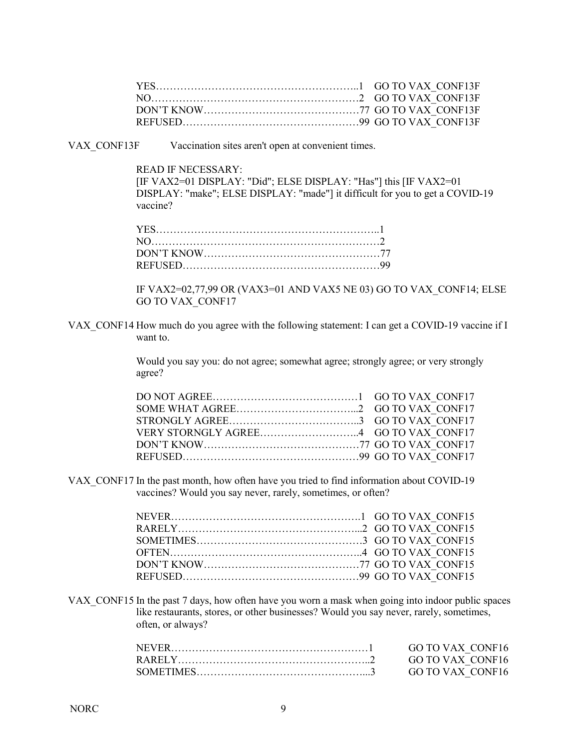VAX CONF13F Vaccination sites aren't open at convenient times.

READ IF NECESSARY:

[IF VAX2=01 DISPLAY: "Did"; ELSE DISPLAY: "Has"] this [IF VAX2=01 DISPLAY: "make"; ELSE DISPLAY: "made"] it difficult for you to get a COVID-19 vaccine?

IF VAX2=02,77,99 OR (VAX3=01 AND VAX5 NE 03) GO TO VAX\_CONF14; ELSE GO TO VAX\_CONF17

VAX CONF14 How much do you agree with the following statement: I can get a COVID-19 vaccine if I want to.

> Would you say you: do not agree; somewhat agree; strongly agree; or very strongly agree?

VAX\_CONF17 In the past month, how often have you tried to find information about COVID-19 vaccines? Would you say never, rarely, sometimes, or often?

VAX CONF15 In the past 7 days, how often have you worn a mask when going into indoor public spaces like restaurants, stores, or other businesses? Would you say never, rarely, sometimes, often, or always?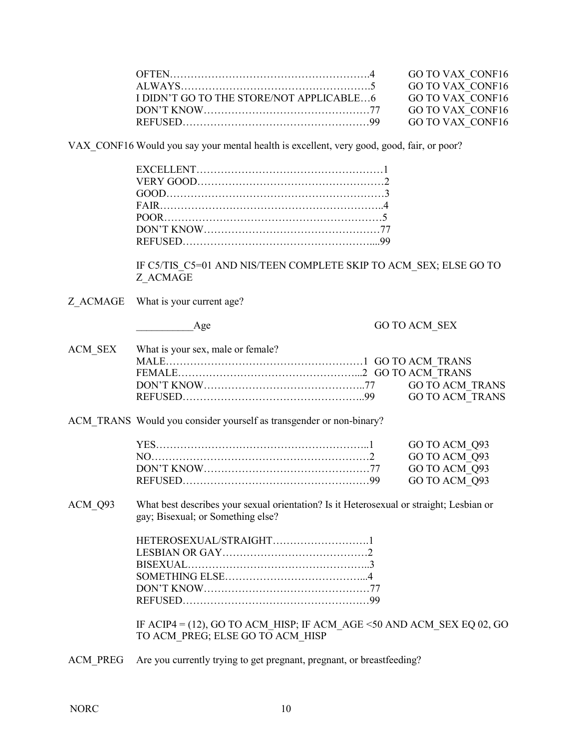| I DIDN'T GO TO THE STORE/NOT APPLICABLE6 GO TO VAX CONF16                                                                                                                                                                                            |  |
|------------------------------------------------------------------------------------------------------------------------------------------------------------------------------------------------------------------------------------------------------|--|
| DON'T KNOW $\ldots$ $\ldots$ $\ldots$ $\ldots$ $\ldots$ $\ldots$ $\ldots$ $\ldots$ $\ldots$ $\ldots$ $\ldots$ $\ldots$ $\ldots$ $\ldots$ $\ldots$ $\ldots$ $\ldots$ $\ldots$ $\ldots$ $\ldots$ $\ldots$ $\ldots$ $\ldots$ $\ldots$ $\ldots$ $\ldots$ |  |
|                                                                                                                                                                                                                                                      |  |

VAX CONF16 Would you say your mental health is excellent, very good, good, fair, or poor?

IF C5/TIS\_C5=01 AND NIS/TEEN COMPLETE SKIP TO ACM\_SEX; ELSE GO TO Z\_ACMAGE

Z ACMAGE What is your current age?

Age GO TO ACM SEX

| ACM SEX What is your sex, male or female? |  |
|-------------------------------------------|--|
|                                           |  |
|                                           |  |
|                                           |  |
|                                           |  |

ACM\_TRANS Would you consider yourself as transgender or non-binary?

ACM Q93 What best describes your sexual orientation? Is it Heterosexual or straight; Lesbian or gay; Bisexual; or Something else?

| BISEXUAL |  |
|----------|--|
|          |  |
|          |  |
|          |  |

IF ACIP4 = (12), GO TO ACM HISP; IF ACM AGE <50 AND ACM SEX EQ 02, GO TO ACM\_PREG; ELSE GO TO ACM\_HISP

ACM\_PREG Are you currently trying to get pregnant, pregnant, or breastfeeding?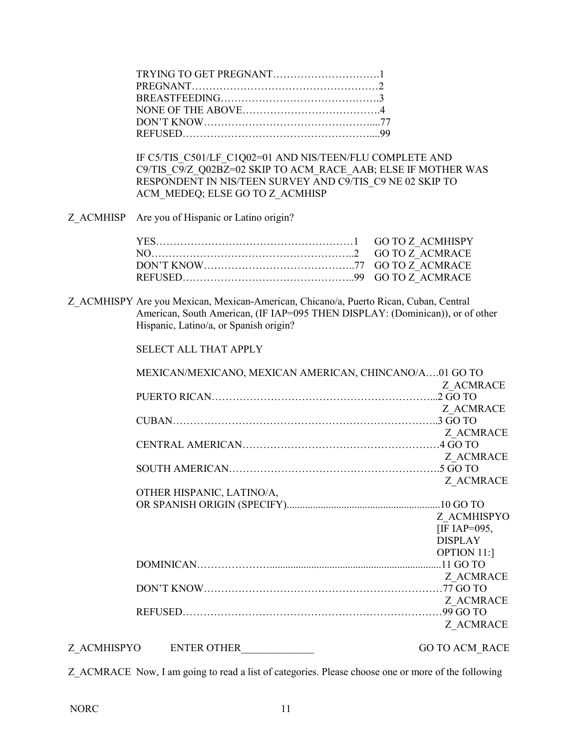IF C5/TIS\_C501/LF\_C1Q02=01 AND NIS/TEEN/FLU COMPLETE AND C9/TIS\_C9/Z\_Q02BZ=02 SKIP TO ACM\_RACE\_AAB; ELSE IF MOTHER WAS RESPONDENT IN NIS/TEEN SURVEY AND C9/TIS\_C9 NE 02 SKIP TO ACM\_MEDEQ; ELSE GO TO Z\_ACMHISP

Z\_ACMHISP Are you of Hispanic or Latino origin?

Z\_ACMHISPY Are you Mexican, Mexican-American, Chicano/a, Puerto Rican, Cuban, Central American, South American, (IF IAP=095 THEN DISPLAY: (Dominican)), or of other Hispanic, Latino/a, or Spanish origin?

SELECT ALL THAT APPLY

|             |                           | MEXICAN/MEXICANO, MEXICAN AMERICAN, CHINCANO/A01 GO TO |
|-------------|---------------------------|--------------------------------------------------------|
|             |                           | Z ACMRACE                                              |
|             |                           |                                                        |
|             |                           | Z ACMRACE                                              |
|             |                           |                                                        |
|             |                           | Z ACMRACE                                              |
|             |                           |                                                        |
|             |                           | Z ACMRACE                                              |
|             |                           |                                                        |
|             |                           | Z ACMRACE                                              |
|             | OTHER HISPANIC, LATINO/A, |                                                        |
|             |                           |                                                        |
|             |                           | Z ACMHISPYO                                            |
|             |                           | [IF IAP=095,                                           |
|             |                           | <b>DISPLAY</b>                                         |
|             |                           | <b>OPTION 11:1</b>                                     |
|             |                           |                                                        |
|             |                           | Z ACMRACE                                              |
|             |                           |                                                        |
|             |                           | Z ACMRACE                                              |
|             |                           |                                                        |
|             |                           | Z ACMRACE                                              |
| Z ACMHISPYO | <b>ENTER OTHER</b>        | <b>GO TO ACM RACE</b>                                  |

Z\_ACMRACE Now, I am going to read a list of categories. Please choose one or more of the following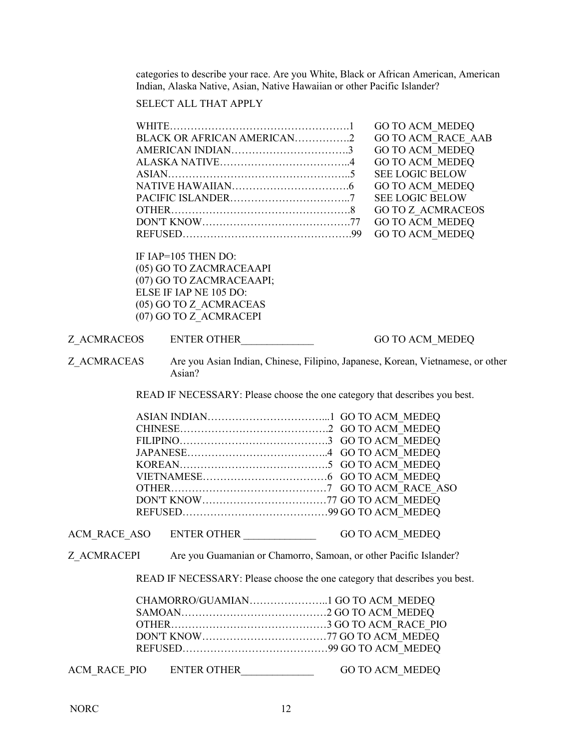categories to describe your race. Are you White, Black or African American, American Indian, Alaska Native, Asian, Native Hawaiian or other Pacific Islander?

## SELECT ALL THAT APPLY

|              | BLACK OR AFRICAN AMERICAN2<br>IF IAP=105 THEN DO:                                                                                                                                   | <b>GO TO ACM MEDEQ</b><br><b>GO TO ACM RACE AAB</b><br><b>GO TO ACM MEDEQ</b><br><b>GO TO ACM MEDEQ</b><br><b>SEE LOGIC BELOW</b><br><b>GO TO ACM MEDEQ</b><br><b>SEE LOGIC BELOW</b><br><b>GO TO Z ACMRACEOS</b><br><b>GO TO ACM MEDEQ</b><br><b>GO TO ACM MEDEQ</b> |
|--------------|-------------------------------------------------------------------------------------------------------------------------------------------------------------------------------------|-----------------------------------------------------------------------------------------------------------------------------------------------------------------------------------------------------------------------------------------------------------------------|
|              | (05) GO TO ZACMRACEAAPI<br>(07) GO TO ZACMRACEAAPI;<br>ELSE IF IAP NE 105 DO:<br>(05) GO TO Z ACMRACEAS<br>(07) GO TO Z ACMRACEPI                                                   |                                                                                                                                                                                                                                                                       |
| Z ACMRACEOS  | ENTER OTHER                                                                                                                                                                         | <b>GO TO ACM MEDEQ</b>                                                                                                                                                                                                                                                |
| Z ACMRACEAS  | Are you Asian Indian, Chinese, Filipino, Japanese, Korean, Vietnamese, or other<br>Asian?                                                                                           |                                                                                                                                                                                                                                                                       |
|              | READ IF NECESSARY: Please choose the one category that describes you best.                                                                                                          |                                                                                                                                                                                                                                                                       |
|              |                                                                                                                                                                                     |                                                                                                                                                                                                                                                                       |
| ACM RACE ASO | ENTER OTHER                                                                                                                                                                         | <b>GO TO ACM MEDEQ</b>                                                                                                                                                                                                                                                |
| Z ACMRACEPI  | Are you Guamanian or Chamorro, Samoan, or other Pacific Islander?<br>READ IF NECESSARY: Please choose the one category that describes you best.<br>CHAMORRO/GUAMIAN GO TO ACM MEDEQ |                                                                                                                                                                                                                                                                       |
| ACM RACE PIO | ENTER OTHER                                                                                                                                                                         | <b>GO TO ACM MEDEQ</b>                                                                                                                                                                                                                                                |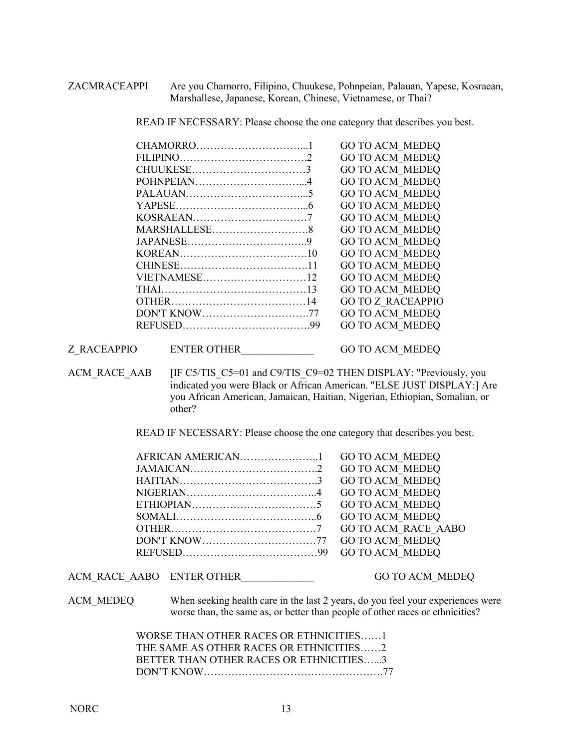ZACMRACEAPPI Are you Chamorro, Filipino, Chuukese, Pohnpeian, Palauan, Yapese, Kosraean, Marshallese, Japanese, Korean, Chinese, Vietnamese, or Thai?

READ IF NECESSARY: Please choose the one category that describes you best.

|              | <b>GO TO ACM MEDEQ</b>   |
|--------------|--------------------------|
|              | <b>GO TO ACM MEDEO</b>   |
|              | <b>GO TO ACM MEDEQ</b>   |
|              | <b>GO TO ACM MEDEQ</b>   |
|              | <b>GO TO ACM MEDEO</b>   |
|              | <b>GO TO ACM MEDEQ</b>   |
|              | <b>GO TO ACM MEDEQ</b>   |
|              | <b>GO TO ACM MEDEQ</b>   |
|              | <b>GO TO ACM MEDEQ</b>   |
|              | <b>GO TO ACM MEDEQ</b>   |
|              | <b>GO TO ACM MEDEQ</b>   |
| VIETNAMESE12 | <b>GO TO ACM MEDEQ</b>   |
|              | <b>GO TO ACM MEDEQ</b>   |
|              | <b>GO TO Z RACEAPPIO</b> |
|              | <b>GO TO ACM MEDEQ</b>   |
|              | <b>GO TO ACM MEDEQ</b>   |
|              |                          |

Z\_RACEAPPIO ENTER OTHER GO TO ACM\_MEDEQ

ACM\_RACE\_AAB [IF C5/TIS\_C5=01 and C9/TIS\_C9=02 THEN DISPLAY: "Previously, you indicated you were Black or African American. "ELSE JUST DISPLAY:] Are you African American, Jamaican, Haitian, Nigerian, Ethiopian, Somalian, or other?

READ IF NECESSARY: Please choose the one category that describes you best.

| <b>GO TO ACM MEDEQ</b> |
|------------------------|
| <b>GO TO ACM MEDEQ</b> |
| <b>GO TO ACM MEDEQ</b> |
| <b>GO TO ACM MEDEQ</b> |
| <b>GO TO ACM MEDEQ</b> |
|                        |
|                        |
|                        |
|                        |

ACM\_RACE\_AABO \_ ENTER OTHER \_\_\_\_\_\_\_\_\_\_\_\_\_\_\_\_\_\_\_\_\_\_\_\_ GO TO ACM\_MEDEQ

ACM\_MEDEQ When seeking health care in the last 2 years, do you feel your experiences were worse than, the same as, or better than people of other races or ethnicities?

> WORSE THAN OTHER RACES OR ETHNICITIES……1 THE SAME AS OTHER RACES OR ETHNICITIES……2 BETTER THAN OTHER RACES OR ETHNICITIES…...3 DON'T KNOW…………………………………………….77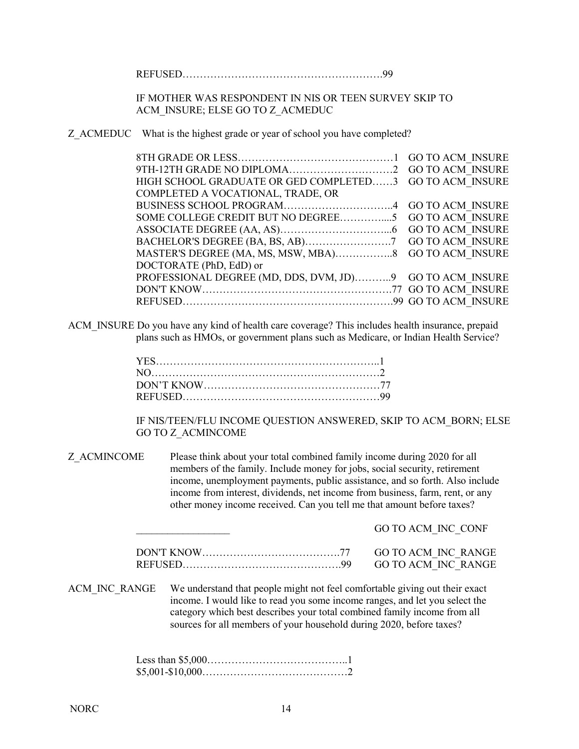REFUSED………………………………………………….99

IF MOTHER WAS RESPONDENT IN NIS OR TEEN SURVEY SKIP TO ACM\_INSURE; ELSE GO TO Z\_ACMEDUC

Z ACMEDUC What is the highest grade or year of school you have completed?

| HIGH SCHOOL GRADUATE OR GED COMPLETED3 GO TO ACM INSURE  |  |
|----------------------------------------------------------|--|
| COMPLETED A VOCATIONAL, TRADE, OR                        |  |
|                                                          |  |
|                                                          |  |
|                                                          |  |
|                                                          |  |
|                                                          |  |
| DOCTORATE (PhD, EdD) or                                  |  |
| PROFESSIONAL DEGREE (MD, DDS, DVM, JD)9 GO TO ACM INSURE |  |
|                                                          |  |
|                                                          |  |
|                                                          |  |

ACM\_INSURE Do you have any kind of health care coverage? This includes health insurance, prepaid plans such as HMOs, or government plans such as Medicare, or Indian Health Service?

IF NIS/TEEN/FLU INCOME QUESTION ANSWERED, SKIP TO ACM\_BORN; ELSE GO TO Z\_ACMINCOME

Z\_ACMINCOME Please think about your total combined family income during 2020 for all members of the family. Include money for jobs, social security, retirement income, unemployment payments, public assistance, and so forth. Also include income from interest, dividends, net income from business, farm, rent, or any other money income received. Can you tell me that amount before taxes?

| GO TO ACM INC CONF |
|--------------------|
|                    |
|                    |
|                    |

ACM\_INC\_RANGE We understand that people might not feel comfortable giving out their exact income. I would like to read you some income ranges, and let you select the category which best describes your total combined family income from all sources for all members of your household during 2020, before taxes?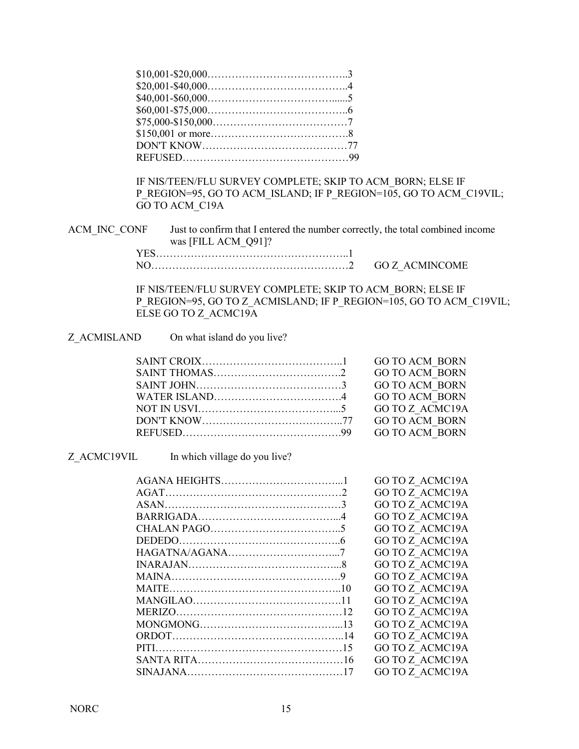IF NIS/TEEN/FLU SURVEY COMPLETE; SKIP TO ACM\_BORN; ELSE IF P\_REGION=95, GO TO ACM\_ISLAND; IF P\_REGION=105, GO TO ACM\_C19VIL; GO TO ACM\_C19A

ACM\_INC\_CONF Just to confirm that I entered the number correctly, the total combined income was [FILL ACM\_Q91]?

| GO Z ACMINCOME |
|----------------|

IF NIS/TEEN/FLU SURVEY COMPLETE; SKIP TO ACM\_BORN; ELSE IF P\_REGION=95, GO TO Z\_ACMISLAND; IF P\_REGION=105, GO TO ACM\_C19VIL; ELSE GO TO Z ACMC19A

| Z ACMISLAND |
|-------------|
|             |

On what island do you live?

Z\_ACMC19VIL In which village do you live?

|  | <b>GO TO Z ACMC19A</b> |
|--|------------------------|
|  | GO TO Z ACMC19A        |
|  | <b>GO TO Z ACMC19A</b> |
|  | <b>GO TO Z ACMC19A</b> |
|  | GO TO Z ACMC19A        |
|  | GO TO Z ACMC19A        |
|  | GO TO Z ACMC19A        |
|  | <b>GO TO Z ACMC19A</b> |
|  | <b>GO TO Z ACMC19A</b> |
|  | GO TO Z ACMC19A        |
|  | <b>GO TO Z ACMC19A</b> |
|  | GO TO Z ACMC19A        |
|  | GO TO Z ACMC19A        |
|  | <b>GO TO Z ACMC19A</b> |
|  | GO TO Z ACMC19A        |
|  | <b>GO TO Z ACMC19A</b> |
|  | <b>GO TO Z ACMC19A</b> |
|  |                        |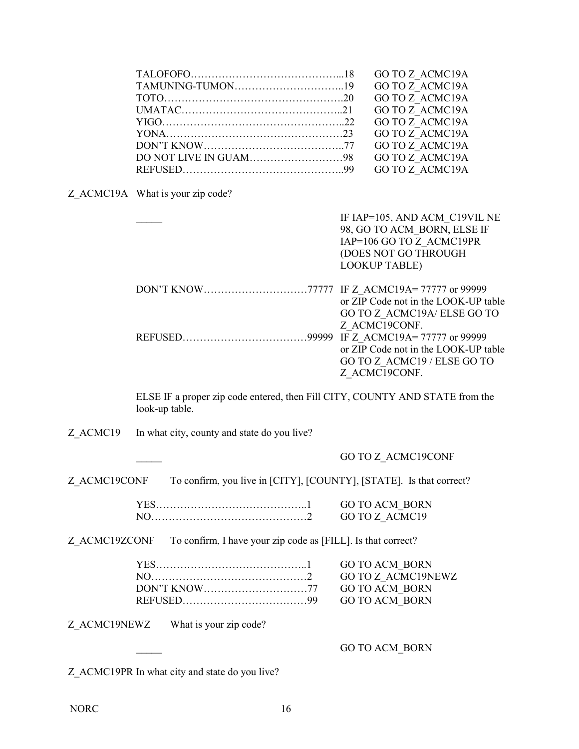|  | <b>GO TO Z ACMC19A</b> |
|--|------------------------|
|  | <b>GO TO Z ACMC19A</b> |
|  | <b>GO TO Z ACMC19A</b> |
|  | GO TO Z ACMC19A        |
|  | GO TO Z ACMC19A        |
|  | GO TO Z ACMC19A        |
|  | <b>GO TO Z ACMC19A</b> |
|  | <b>GO TO Z ACMC19A</b> |
|  | <b>GO TO Z ACMC19A</b> |

Z\_ACMC19A What is your zip code?

| IF IAP=105, AND ACM C19VIL NE        |
|--------------------------------------|
| 98, GO TO ACM BORN, ELSE IF          |
| IAP=106 GO TO Z ACMC19PR             |
| (DOES NOT GO THROUGH                 |
| <b>LOOKUP TABLE)</b>                 |
|                                      |
|                                      |
| or ZIP Code not in the LOOK-UP table |
| GO TO Z ACMC19A/ELSE GO TO           |
| Z ACMC19CONF.                        |
|                                      |
| or ZIP Code not in the LOOK-UP table |
| GO TO Z ACMC19 / ELSE GO TO          |
| Z ACMC19CONF.                        |
|                                      |

ELSE IF a proper zip code entered, then Fill CITY, COUNTY AND STATE from the look-up table.

Z ACMC19 In what city, county and state do you live?

\_\_\_\_\_ GO TO Z\_ACMC19CONF

Z\_ACMC19CONF To confirm, you live in [CITY], [COUNTY], [STATE]. Is that correct?

| <b>YES</b> | - GO TO ACM-RORN |
|------------|------------------|
| NO         | GO TO Z ACMC19   |

Z\_ACMC19ZCONF To confirm, I have your zip code as [FILL]. Is that correct?

Z\_ACMC19NEWZ What is your zip code?

GO TO ACM\_BORN

Z\_ACMC19PR In what city and state do you live?